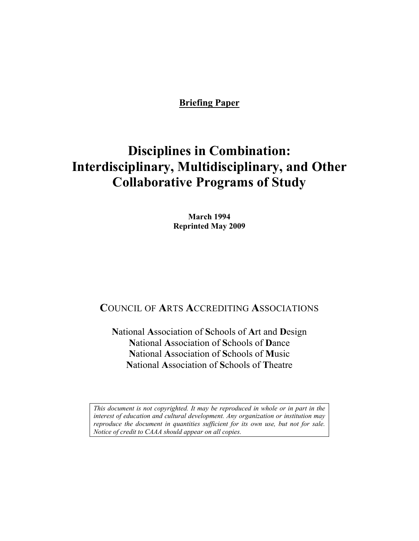# **Briefing Paper**

# **Disciplines in Combination: Interdisciplinary, Multidisciplinary, and Other Collaborative Programs of Study**

**March 1994 Reprinted May 2009** 

# **C**OUNCIL OF **A**RTS **A**CCREDITING **A**SSOCIATIONS

**N**ational **A**ssociation of **S**chools of **A**rt and **D**esign **N**ational **A**ssociation of **S**chools of **D**ance **N**ational **A**ssociation of **S**chools of **M**usic **N**ational **A**ssociation of **S**chools of **T**heatre

*This document is not copyrighted. It may be reproduced in whole or in part in the interest of education and cultural development. Any organization or institution may reproduce the document in quantities sufficient for its own use, but not for sale. Notice of credit to CAAA should appear on all copies.*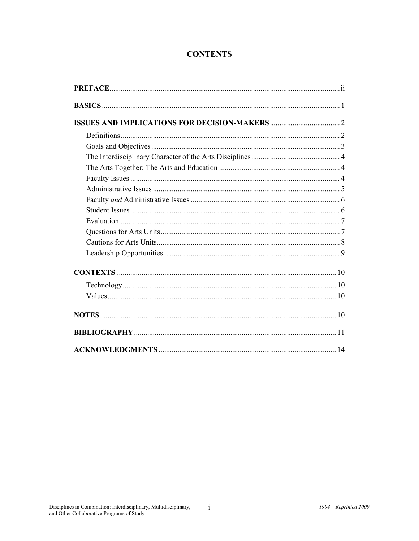# **CONTENTS**

 $\overline{i}$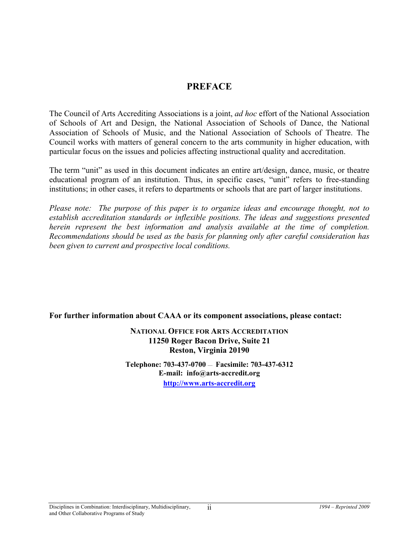# **PREFACE**

The Council of Arts Accrediting Associations is a joint, *ad hoc* effort of the National Association of Schools of Art and Design, the National Association of Schools of Dance, the National Association of Schools of Music, and the National Association of Schools of Theatre. The Council works with matters of general concern to the arts community in higher education, with particular focus on the issues and policies affecting instructional quality and accreditation.

The term "unit" as used in this document indicates an entire art/design, dance, music, or theatre educational program of an institution. Thus, in specific cases, "unit" refers to free-standing institutions; in other cases, it refers to departments or schools that are part of larger institutions.

*Please note:* The purpose of this paper is to organize ideas and encourage thought, not to *establish accreditation standards or inflexible positions. The ideas and suggestions presented herein represent the best information and analysis available at the time of completion. Recommendations should be used as the basis for planning only after careful consideration has been given to current and prospective local conditions.* 

**For further information about CAAA or its component associations, please contact:** 

**NATIONAL OFFICE FOR ARTS ACCREDITATION 11250 Roger Bacon Drive, Suite 21 Reston, Virginia 20190** 

**Telephone: 703-437-0700** — **Facsimile: 703-437-6312 E-mail: info@arts-accredit.org [http://www.arts-accredit.org](http://www.arts-accredit.org/)**

ii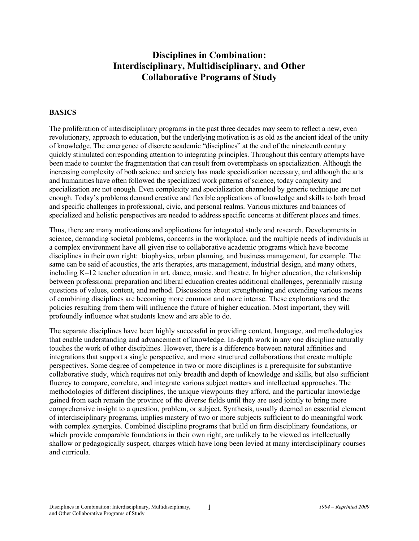# **Disciplines in Combination: Interdisciplinary, Multidisciplinary, and Other Collaborative Programs of Study**

#### **BASICS**

The proliferation of interdisciplinary programs in the past three decades may seem to reflect a new, even revolutionary, approach to education, but the underlying motivation is as old as the ancient ideal of the unity of knowledge. The emergence of discrete academic "disciplines" at the end of the nineteenth century quickly stimulated corresponding attention to integrating principles. Throughout this century attempts have been made to counter the fragmentation that can result from overemphasis on specialization. Although the increasing complexity of both science and society has made specialization necessary, and although the arts and humanities have often followed the specialized work patterns of science, today complexity and specialization are not enough. Even complexity and specialization channeled by generic technique are not enough. Today's problems demand creative and flexible applications of knowledge and skills to both broad and specific challenges in professional, civic, and personal realms. Various mixtures and balances of specialized and holistic perspectives are needed to address specific concerns at different places and times.

Thus, there are many motivations and applications for integrated study and research. Developments in science, demanding societal problems, concerns in the workplace, and the multiple needs of individuals in a complex environment have all given rise to collaborative academic programs which have become disciplines in their own right: biophysics, urban planning, and business management, for example. The same can be said of acoustics, the arts therapies, arts management, industrial design, and many others, including K–12 teacher education in art, dance, music, and theatre. In higher education, the relationship between professional preparation and liberal education creates additional challenges, perennially raising questions of values, content, and method. Discussions about strengthening and extending various means of combining disciplines are becoming more common and more intense. These explorations and the policies resulting from them will influence the future of higher education. Most important, they will profoundly influence what students know and are able to do.

The separate disciplines have been highly successful in providing content, language, and methodologies that enable understanding and advancement of knowledge. In-depth work in any one discipline naturally touches the work of other disciplines. However, there is a difference between natural affinities and integrations that support a single perspective, and more structured collaborations that create multiple perspectives. Some degree of competence in two or more disciplines is a prerequisite for substantive collaborative study, which requires not only breadth and depth of knowledge and skills, but also sufficient fluency to compare, correlate, and integrate various subject matters and intellectual approaches. The methodologies of different disciplines, the unique viewpoints they afford, and the particular knowledge gained from each remain the province of the diverse fields until they are used jointly to bring more comprehensive insight to a question, problem, or subject. Synthesis, usually deemed an essential element of interdisciplinary programs, implies mastery of two or more subjects sufficient to do meaningful work with complex synergies. Combined discipline programs that build on firm disciplinary foundations, or which provide comparable foundations in their own right, are unlikely to be viewed as intellectually shallow or pedagogically suspect, charges which have long been levied at many interdisciplinary courses and curricula.

1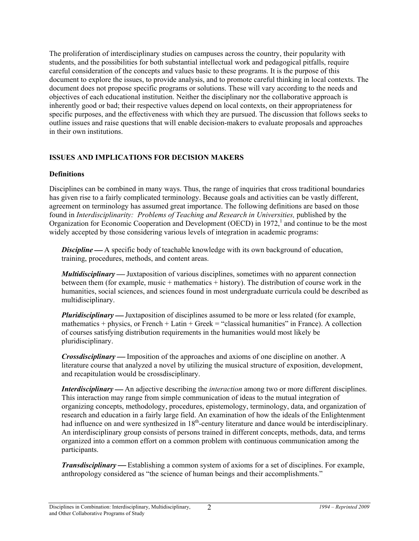The proliferation of interdisciplinary studies on campuses across the country, their popularity with students, and the possibilities for both substantial intellectual work and pedagogical pitfalls, require careful consideration of the concepts and values basic to these programs. It is the purpose of this document to explore the issues, to provide analysis, and to promote careful thinking in local contexts. The document does not propose specific programs or solutions. These will vary according to the needs and objectives of each educational institution. Neither the disciplinary nor the collaborative approach is inherently good or bad; their respective values depend on local contexts, on their appropriateness for specific purposes, and the effectiveness with which they are pursued. The discussion that follows seeks to outline issues and raise questions that will enable decision-makers to evaluate proposals and approaches in their own institutions.

### **ISSUES AND IMPLICATIONS FOR DECISION MAKERS**

#### **Definitions**

Disciplines can be combined in many ways. Thus, the range of inquiries that cross traditional boundaries has given rise to a fairly complicated terminology. Because goals and activities can be vastly different, agreement on terminology has assumed great importance. The following definitions are based on those found in *Interdisciplinarity: Problems of Teaching and Research in Universities,* published by the Organization for Economic Cooperation and Development (OECD) in 1972,<sup>1</sup> and continue to be the most widely accepted by those considering various levels of integration in academic programs:

**Discipline** — A specific body of teachable knowledge with its own background of education, training, procedures, methods, and content areas.

*Multidisciplinary* — Juxtaposition of various disciplines, sometimes with no apparent connection between them (for example, music + mathematics + history). The distribution of course work in the humanities, social sciences, and sciences found in most undergraduate curricula could be described as multidisciplinary.

*Pluridisciplinary* — Juxtaposition of disciplines assumed to be more or less related (for example, mathematics + physics, or French + Latin + Greek = "classical humanities" in France). A collection of courses satisfying distribution requirements in the humanities would most likely be pluridisciplinary.

*Crossdisciplinary* — Imposition of the approaches and axioms of one discipline on another. A literature course that analyzed a novel by utilizing the musical structure of exposition, development, and recapitulation would be crossdisciplinary.

*Interdisciplinary* — An adjective describing the *interaction* among two or more different disciplines. This interaction may range from simple communication of ideas to the mutual integration of organizing concepts, methodology, procedures, epistemology, terminology, data, and organization of research and education in a fairly large field. An examination of how the ideals of the Enlightenment had influence on and were synthesized in  $18<sup>th</sup>$ -century literature and dance would be interdisciplinary. An interdisciplinary group consists of persons trained in different concepts, methods, data, and terms organized into a common effort on a common problem with continuous communication among the participants.

*Transdisciplinary*—Establishing a common system of axioms for a set of disciplines. For example, anthropology considered as "the science of human beings and their accomplishments."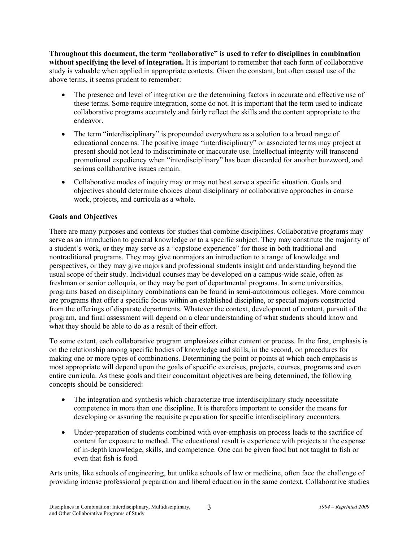**Throughout this document, the term "collaborative" is used to refer to disciplines in combination without specifying the level of integration.** It is important to remember that each form of collaborative study is valuable when applied in appropriate contexts. Given the constant, but often casual use of the above terms, it seems prudent to remember:

- The presence and level of integration are the determining factors in accurate and effective use of these terms. Some require integration, some do not. It is important that the term used to indicate collaborative programs accurately and fairly reflect the skills and the content appropriate to the endeavor.
- The term "interdisciplinary" is propounded everywhere as a solution to a broad range of educational concerns. The positive image "interdisciplinary" or associated terms may project at present should not lead to indiscriminate or inaccurate use. Intellectual integrity will transcend promotional expediency when "interdisciplinary" has been discarded for another buzzword, and serious collaborative issues remain.
- Collaborative modes of inquiry may or may not best serve a specific situation. Goals and objectives should determine choices about disciplinary or collaborative approaches in course work, projects, and curricula as a whole.

#### **Goals and Objectives**

There are many purposes and contexts for studies that combine disciplines. Collaborative programs may serve as an introduction to general knowledge or to a specific subject. They may constitute the majority of a student's work, or they may serve as a "capstone experience" for those in both traditional and nontraditional programs. They may give nonmajors an introduction to a range of knowledge and perspectives, or they may give majors and professional students insight and understanding beyond the usual scope of their study. Individual courses may be developed on a campus-wide scale, often as freshman or senior colloquia, or they may be part of departmental programs. In some universities, programs based on disciplinary combinations can be found in semi-autonomous colleges. More common are programs that offer a specific focus within an established discipline, or special majors constructed from the offerings of disparate departments. Whatever the context, development of content, pursuit of the program, and final assessment will depend on a clear understanding of what students should know and what they should be able to do as a result of their effort.

To some extent, each collaborative program emphasizes either content or process. In the first, emphasis is on the relationship among specific bodies of knowledge and skills, in the second, on procedures for making one or more types of combinations. Determining the point or points at which each emphasis is most appropriate will depend upon the goals of specific exercises, projects, courses, programs and even entire curricula. As these goals and their concomitant objectives are being determined, the following concepts should be considered:

- The integration and synthesis which characterize true interdisciplinary study necessitate competence in more than one discipline. It is therefore important to consider the means for developing or assuring the requisite preparation for specific interdisciplinary encounters.
- Under-preparation of students combined with over-emphasis on process leads to the sacrifice of content for exposure to method. The educational result is experience with projects at the expense of in-depth knowledge, skills, and competence. One can be given food but not taught to fish or even that fish is food.

Arts units, like schools of engineering, but unlike schools of law or medicine, often face the challenge of providing intense professional preparation and liberal education in the same context. Collaborative studies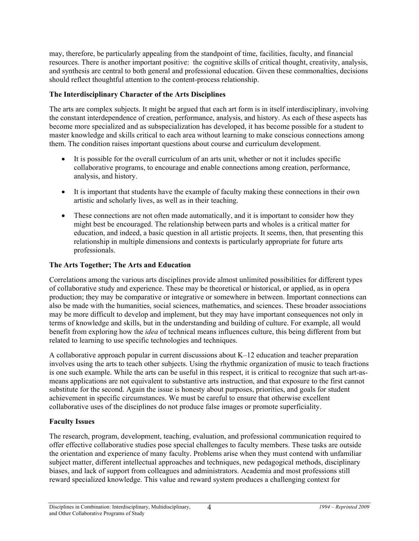may, therefore, be particularly appealing from the standpoint of time, facilities, faculty, and financial resources. There is another important positive: the cognitive skills of critical thought, creativity, analysis, and synthesis are central to both general and professional education. Given these commonalties, decisions should reflect thoughtful attention to the content-process relationship.

#### **The Interdisciplinary Character of the Arts Disciplines**

The arts are complex subjects. It might be argued that each art form is in itself interdisciplinary, involving the constant interdependence of creation, performance, analysis, and history. As each of these aspects has become more specialized and as subspecialization has developed, it has become possible for a student to master knowledge and skills critical to each area without learning to make conscious connections among them. The condition raises important questions about course and curriculum development.

- It is possible for the overall curriculum of an arts unit, whether or not it includes specific collaborative programs, to encourage and enable connections among creation, performance, analysis, and history.
- It is important that students have the example of faculty making these connections in their own artistic and scholarly lives, as well as in their teaching.
- These connections are not often made automatically, and it is important to consider how they might best be encouraged. The relationship between parts and wholes is a critical matter for education, and indeed, a basic question in all artistic projects. It seems, then, that presenting this relationship in multiple dimensions and contexts is particularly appropriate for future arts professionals.

#### **The Arts Together; The Arts and Education**

Correlations among the various arts disciplines provide almost unlimited possibilities for different types of collaborative study and experience. These may be theoretical or historical, or applied, as in opera production; they may be comparative or integrative or somewhere in between. Important connections can also be made with the humanities, social sciences, mathematics, and sciences. These broader associations may be more difficult to develop and implement, but they may have important consequences not only in terms of knowledge and skills, but in the understanding and building of culture. For example, all would benefit from exploring how the *idea* of technical means influences culture, this being different from but related to learning to use specific technologies and techniques.

A collaborative approach popular in current discussions about K–12 education and teacher preparation involves using the arts to teach other subjects. Using the rhythmic organization of music to teach fractions is one such example. While the arts can be useful in this respect, it is critical to recognize that such art-asmeans applications are not equivalent to substantive arts instruction, and that exposure to the first cannot substitute for the second. Again the issue is honesty about purposes, priorities, and goals for student achievement in specific circumstances. We must be careful to ensure that otherwise excellent collaborative uses of the disciplines do not produce false images or promote superficiality.

#### **Faculty Issues**

The research, program, development, teaching, evaluation, and professional communication required to offer effective collaborative studies pose special challenges to faculty members. These tasks are outside the orientation and experience of many faculty. Problems arise when they must contend with unfamiliar subject matter, different intellectual approaches and techniques, new pedagogical methods, disciplinary biases, and lack of support from colleagues and administrators. Academia and most professions still reward specialized knowledge. This value and reward system produces a challenging context for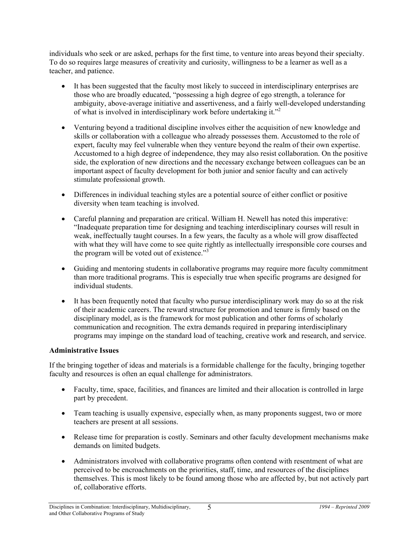individuals who seek or are asked, perhaps for the first time, to venture into areas beyond their specialty. To do so requires large measures of creativity and curiosity, willingness to be a learner as well as a teacher, and patience.

- It has been suggested that the faculty most likely to succeed in interdisciplinary enterprises are those who are broadly educated, "possessing a high degree of ego strength, a tolerance for ambiguity, above-average initiative and assertiveness, and a fairly well-developed understanding of what is involved in interdisciplinary work before undertaking it."2
- Venturing beyond a traditional discipline involves either the acquisition of new knowledge and skills or collaboration with a colleague who already possesses them. Accustomed to the role of expert, faculty may feel vulnerable when they venture beyond the realm of their own expertise. Accustomed to a high degree of independence, they may also resist collaboration. On the positive side, the exploration of new directions and the necessary exchange between colleagues can be an important aspect of faculty development for both junior and senior faculty and can actively stimulate professional growth.
- Differences in individual teaching styles are a potential source of either conflict or positive diversity when team teaching is involved.
- Careful planning and preparation are critical. William H. Newell has noted this imperative: "Inadequate preparation time for designing and teaching interdisciplinary courses will result in weak, ineffectually taught courses. In a few years, the faculty as a whole will grow disaffected with what they will have come to see quite rightly as intellectually irresponsible core courses and the program will be voted out of existence."<sup>3</sup>
- Guiding and mentoring students in collaborative programs may require more faculty commitment than more traditional programs. This is especially true when specific programs are designed for individual students.
- It has been frequently noted that faculty who pursue interdisciplinary work may do so at the risk of their academic careers. The reward structure for promotion and tenure is firmly based on the disciplinary model, as is the framework for most publication and other forms of scholarly communication and recognition. The extra demands required in preparing interdisciplinary programs may impinge on the standard load of teaching, creative work and research, and service.

#### **Administrative Issues**

If the bringing together of ideas and materials is a formidable challenge for the faculty, bringing together faculty and resources is often an equal challenge for administrators.

- Faculty, time, space, facilities, and finances are limited and their allocation is controlled in large part by precedent.
- Team teaching is usually expensive, especially when, as many proponents suggest, two or more teachers are present at all sessions.
- Release time for preparation is costly. Seminars and other faculty development mechanisms make demands on limited budgets.
- Administrators involved with collaborative programs often contend with resentment of what are perceived to be encroachments on the priorities, staff, time, and resources of the disciplines themselves. This is most likely to be found among those who are affected by, but not actively part of, collaborative efforts.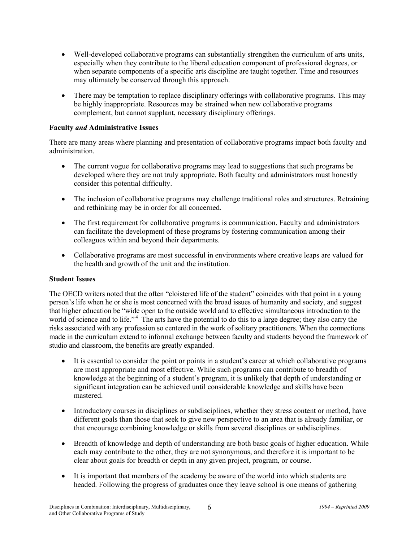- Well-developed collaborative programs can substantially strengthen the curriculum of arts units, especially when they contribute to the liberal education component of professional degrees, or when separate components of a specific arts discipline are taught together. Time and resources may ultimately be conserved through this approach.
- There may be temptation to replace disciplinary offerings with collaborative programs. This may be highly inappropriate. Resources may be strained when new collaborative programs complement, but cannot supplant, necessary disciplinary offerings.

#### **Faculty** *and* **Administrative Issues**

There are many areas where planning and presentation of collaborative programs impact both faculty and administration.

- The current vogue for collaborative programs may lead to suggestions that such programs be developed where they are not truly appropriate. Both faculty and administrators must honestly consider this potential difficulty.
- The inclusion of collaborative programs may challenge traditional roles and structures. Retraining and rethinking may be in order for all concerned.
- The first requirement for collaborative programs is communication. Faculty and administrators can facilitate the development of these programs by fostering communication among their colleagues within and beyond their departments.
- Collaborative programs are most successful in environments where creative leaps are valued for the health and growth of the unit and the institution.

#### **Student Issues**

The OECD writers noted that the often "cloistered life of the student" coincides with that point in a young person's life when he or she is most concerned with the broad issues of humanity and society, and suggest that higher education be "wide open to the outside world and to effective simultaneous introduction to the world of science and to life."<sup>4</sup> The arts have the potential to do this to a large degree; they also carry the risks associated with any profession so centered in the work of solitary practitioners. When the connections made in the curriculum extend to informal exchange between faculty and students beyond the framework of studio and classroom, the benefits are greatly expanded.

- It is essential to consider the point or points in a student's career at which collaborative programs are most appropriate and most effective. While such programs can contribute to breadth of knowledge at the beginning of a student's program, it is unlikely that depth of understanding or significant integration can be achieved until considerable knowledge and skills have been mastered.
- Introductory courses in disciplines or subdisciplines, whether they stress content or method, have different goals than those that seek to give new perspective to an area that is already familiar, or that encourage combining knowledge or skills from several disciplines or subdisciplines.
- Breadth of knowledge and depth of understanding are both basic goals of higher education. While each may contribute to the other, they are not synonymous, and therefore it is important to be clear about goals for breadth or depth in any given project, program, or course.
- It is important that members of the academy be aware of the world into which students are headed. Following the progress of graduates once they leave school is one means of gathering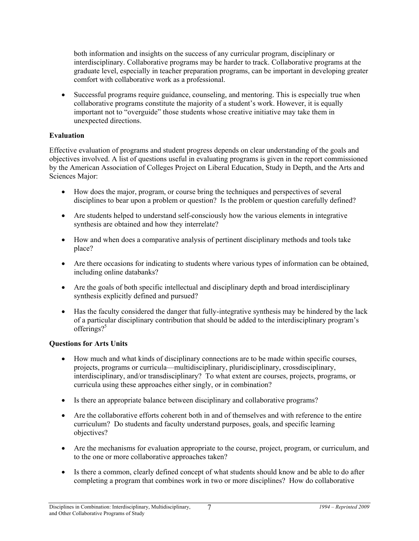both information and insights on the success of any curricular program, disciplinary or interdisciplinary. Collaborative programs may be harder to track. Collaborative programs at the graduate level, especially in teacher preparation programs, can be important in developing greater comfort with collaborative work as a professional.

• Successful programs require guidance, counseling, and mentoring. This is especially true when collaborative programs constitute the majority of a student's work. However, it is equally important not to "overguide" those students whose creative initiative may take them in unexpected directions.

#### **Evaluation**

Effective evaluation of programs and student progress depends on clear understanding of the goals and objectives involved. A list of questions useful in evaluating programs is given in the report commissioned by the American Association of Colleges Project on Liberal Education, Study in Depth, and the Arts and Sciences Major:

- How does the major, program, or course bring the techniques and perspectives of several disciplines to bear upon a problem or question? Is the problem or question carefully defined?
- Are students helped to understand self-consciously how the various elements in integrative synthesis are obtained and how they interrelate?
- How and when does a comparative analysis of pertinent disciplinary methods and tools take place?
- Are there occasions for indicating to students where various types of information can be obtained, including online databanks?
- Are the goals of both specific intellectual and disciplinary depth and broad interdisciplinary synthesis explicitly defined and pursued?
- Has the faculty considered the danger that fully-integrative synthesis may be hindered by the lack of a particular disciplinary contribution that should be added to the interdisciplinary program's offerings?<sup>5</sup>

### **Questions for Arts Units**

- How much and what kinds of disciplinary connections are to be made within specific courses, projects, programs or curricula—multidisciplinary, pluridisciplinary, crossdisciplinary, interdisciplinary, and/or transdisciplinary? To what extent are courses, projects, programs, or curricula using these approaches either singly, or in combination?
- Is there an appropriate balance between disciplinary and collaborative programs?
- Are the collaborative efforts coherent both in and of themselves and with reference to the entire curriculum? Do students and faculty understand purposes, goals, and specific learning objectives?
- Are the mechanisms for evaluation appropriate to the course, project, program, or curriculum, and to the one or more collaborative approaches taken?
- Is there a common, clearly defined concept of what students should know and be able to do after completing a program that combines work in two or more disciplines? How do collaborative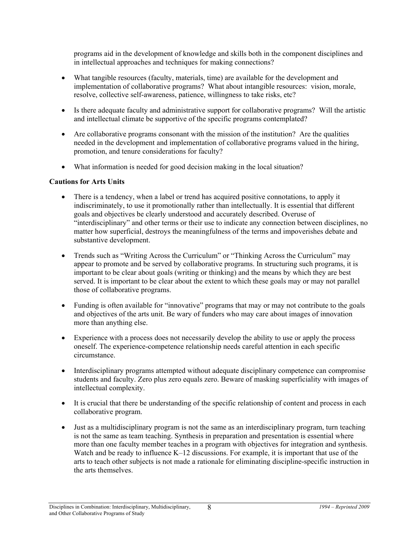programs aid in the development of knowledge and skills both in the component disciplines and in intellectual approaches and techniques for making connections?

- What tangible resources (faculty, materials, time) are available for the development and implementation of collaborative programs? What about intangible resources: vision, morale, resolve, collective self-awareness, patience, willingness to take risks, etc?
- Is there adequate faculty and administrative support for collaborative programs? Will the artistic and intellectual climate be supportive of the specific programs contemplated?
- Are collaborative programs consonant with the mission of the institution? Are the qualities needed in the development and implementation of collaborative programs valued in the hiring, promotion, and tenure considerations for faculty?
- What information is needed for good decision making in the local situation?

#### **Cautions for Arts Units**

- There is a tendency, when a label or trend has acquired positive connotations, to apply it indiscriminately, to use it promotionally rather than intellectually. It is essential that different goals and objectives be clearly understood and accurately described. Overuse of "interdisciplinary" and other terms or their use to indicate any connection between disciplines, no matter how superficial, destroys the meaningfulness of the terms and impoverishes debate and substantive development.
- Trends such as "Writing Across the Curriculum" or "Thinking Across the Curriculum" may appear to promote and be served by collaborative programs. In structuring such programs, it is important to be clear about goals (writing or thinking) and the means by which they are best served. It is important to be clear about the extent to which these goals may or may not parallel those of collaborative programs.
- Funding is often available for "innovative" programs that may or may not contribute to the goals and objectives of the arts unit. Be wary of funders who may care about images of innovation more than anything else.
- Experience with a process does not necessarily develop the ability to use or apply the process oneself. The experience-competence relationship needs careful attention in each specific circumstance.
- Interdisciplinary programs attempted without adequate disciplinary competence can compromise students and faculty. Zero plus zero equals zero. Beware of masking superficiality with images of intellectual complexity.
- It is crucial that there be understanding of the specific relationship of content and process in each collaborative program.
- Just as a multidisciplinary program is not the same as an interdisciplinary program, turn teaching is not the same as team teaching. Synthesis in preparation and presentation is essential where more than one faculty member teaches in a program with objectives for integration and synthesis. Watch and be ready to influence  $K-12$  discussions. For example, it is important that use of the arts to teach other subjects is not made a rationale for eliminating discipline-specific instruction in the arts themselves.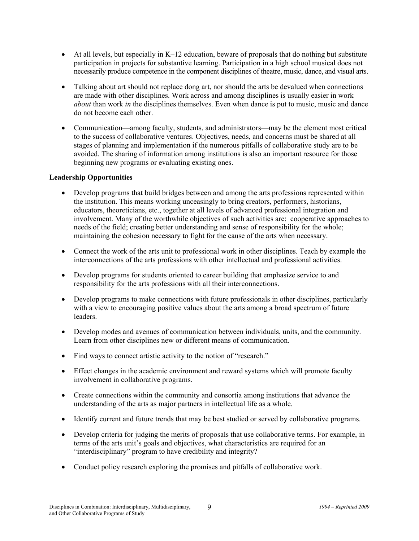- At all levels, but especially in K–12 education, beware of proposals that do nothing but substitute participation in projects for substantive learning. Participation in a high school musical does not necessarily produce competence in the component disciplines of theatre, music, dance, and visual arts.
- Talking about art should not replace dong art, nor should the arts be devalued when connections are made with other disciplines. Work across and among disciplines is usually easier in work *about* than work *in* the disciplines themselves. Even when dance is put to music, music and dance do not become each other.
- Communication—among faculty, students, and administrators—may be the element most critical to the success of collaborative ventures. Objectives, needs, and concerns must be shared at all stages of planning and implementation if the numerous pitfalls of collaborative study are to be avoided. The sharing of information among institutions is also an important resource for those beginning new programs or evaluating existing ones.

#### **Leadership Opportunities**

- Develop programs that build bridges between and among the arts professions represented within the institution. This means working unceasingly to bring creators, performers, historians, educators, theoreticians, etc., together at all levels of advanced professional integration and involvement. Many of the worthwhile objectives of such activities are: cooperative approaches to needs of the field; creating better understanding and sense of responsibility for the whole; maintaining the cohesion necessary to fight for the cause of the arts when necessary.
- Connect the work of the arts unit to professional work in other disciplines. Teach by example the interconnections of the arts professions with other intellectual and professional activities.
- Develop programs for students oriented to career building that emphasize service to and responsibility for the arts professions with all their interconnections.
- Develop programs to make connections with future professionals in other disciplines, particularly with a view to encouraging positive values about the arts among a broad spectrum of future leaders.
- Develop modes and avenues of communication between individuals, units, and the community. Learn from other disciplines new or different means of communication.
- Find ways to connect artistic activity to the notion of "research."
- Effect changes in the academic environment and reward systems which will promote faculty involvement in collaborative programs.
- Create connections within the community and consortia among institutions that advance the understanding of the arts as major partners in intellectual life as a whole.
- Identify current and future trends that may be best studied or served by collaborative programs.
- Develop criteria for judging the merits of proposals that use collaborative terms. For example, in terms of the arts unit's goals and objectives, what characteristics are required for an "interdisciplinary" program to have credibility and integrity?
- Conduct policy research exploring the promises and pitfalls of collaborative work.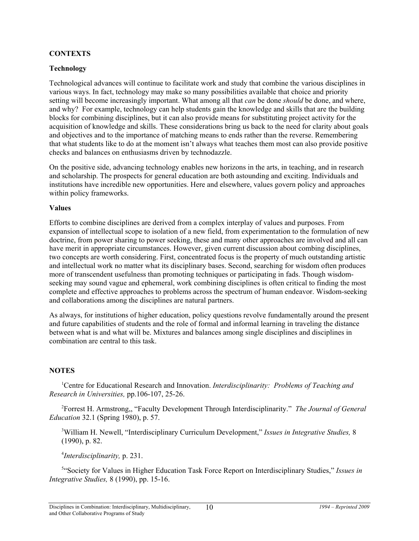#### **CONTEXTS**

#### **Technology**

Technological advances will continue to facilitate work and study that combine the various disciplines in various ways. In fact, technology may make so many possibilities available that choice and priority setting will become increasingly important. What among all that *can* be done *should* be done, and where, and why? For example, technology can help students gain the knowledge and skills that are the building blocks for combining disciplines, but it can also provide means for substituting project activity for the acquisition of knowledge and skills. These considerations bring us back to the need for clarity about goals and objectives and to the importance of matching means to ends rather than the reverse. Remembering that what students like to do at the moment isn't always what teaches them most can also provide positive checks and balances on enthusiasms driven by technodazzle.

On the positive side, advancing technology enables new horizons in the arts, in teaching, and in research and scholarship. The prospects for general education are both astounding and exciting. Individuals and institutions have incredible new opportunities. Here and elsewhere, values govern policy and approaches within policy frameworks.

#### **Values**

Efforts to combine disciplines are derived from a complex interplay of values and purposes. From expansion of intellectual scope to isolation of a new field, from experimentation to the formulation of new doctrine, from power sharing to power seeking, these and many other approaches are involved and all can have merit in appropriate circumstances. However, given current discussion about combing disciplines, two concepts are worth considering. First, concentrated focus is the property of much outstanding artistic and intellectual work no matter what its disciplinary bases. Second, searching for wisdom often produces more of transcendent usefulness than promoting techniques or participating in fads. Though wisdomseeking may sound vague and ephemeral, work combining disciplines is often critical to finding the most complete and effective approaches to problems across the spectrum of human endeavor. Wisdom-seeking and collaborations among the disciplines are natural partners.

As always, for institutions of higher education, policy questions revolve fundamentally around the present and future capabilities of students and the role of formal and informal learning in traveling the distance between what is and what will be. Mixtures and balances among single disciplines and disciplines in combination are central to this task.

#### **NOTES**

1 Centre for Educational Research and Innovation. *Interdisciplinarity: Problems of Teaching and Research in Universities,* pp.106-107, 25-26.

2 Forrest H. Armstrong,, "Faculty Development Through Interdisciplinarity." *The Journal of General Education* 32.1 (Spring 1980), p. 57.

3 William H. Newell, "Interdisciplinary Curriculum Development," *Issues in Integrative Studies,* 8 (1990), p. 82.

4 *Interdisciplinarity,* p. 231.

5 "Society for Values in Higher Education Task Force Report on Interdisciplinary Studies," *Issues in Integrative Studies,* 8 (1990), pp. 15-16.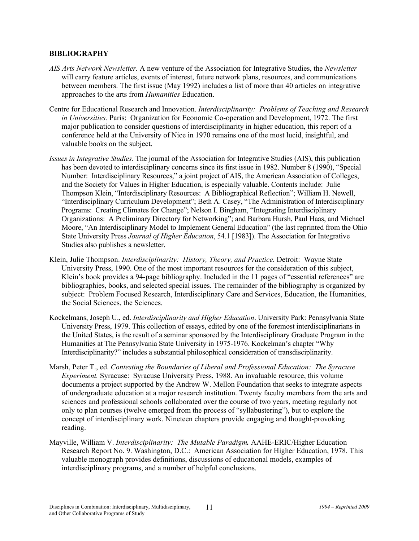#### **BIBLIOGRAPHY**

- *AIS Arts Network Newsletter.* A new venture of the Association for Integrative Studies, the *Newsletter* will carry feature articles, events of interest, future network plans, resources, and communications between members. The first issue (May 1992) includes a list of more than 40 articles on integrative approaches to the arts from *Humanities* Education.
- Centre for Educational Research and Innovation. *Interdisciplinarity: Problems of Teaching and Research in Universities.* Paris: Organization for Economic Co-operation and Development, 1972. The first major publication to consider questions of interdisciplinarity in higher education, this report of a conference held at the University of Nice in 1970 remains one of the most lucid, insightful, and valuable books on the subject.
- *Issues in Integrative Studies.* The journal of the Association for Integrative Studies (AIS), this publication has been devoted to interdisciplinary concerns since its first issue in 1982. Number 8 (1990), "Special Number: Interdisciplinary Resources," a joint project of AIS, the American Association of Colleges, and the Society for Values in Higher Education, is especially valuable. Contents include: Julie Thompson Klein, "Interdisciplinary Resources: A Bibliographical Reflection"; William H. Newell, "Interdisciplinary Curriculum Development"; Beth A. Casey, "The Administration of Interdisciplinary Programs: Creating Climates for Change"; Nelson I. Bingham, "Integrating Interdisciplinary Organizations: A Preliminary Directory for Networking"; and Barbara Hursh, Paul Haas, and Michael Moore, "An Interdisciplinary Model to Implement General Education" (the last reprinted from the Ohio State University Press *Journal of Higher Education*, 54.1 [1983]). The Association for Integrative Studies also publishes a newsletter.
- Klein, Julie Thompson. *Interdisciplinarity: History, Theory, and Practice.* Detroit: Wayne State University Press, 1990. One of the most important resources for the consideration of this subject, Klein's book provides a 94-page bibliography. Included in the 11 pages of "essential references" are bibliographies, books, and selected special issues. The remainder of the bibliography is organized by subject: Problem Focused Research, Interdisciplinary Care and Services, Education, the Humanities, the Social Sciences, the Sciences.
- Kockelmans, Joseph U., ed. *Interdisciplinarity and Higher Education*. University Park: Pennsylvania State University Press, 1979. This collection of essays, edited by one of the foremost interdisciplinarians in the United States, is the result of a seminar sponsored by the Interdisciplinary Graduate Program in the Humanities at The Pennsylvania State University in 1975-1976. Kockelman's chapter "Why Interdisciplinarity?" includes a substantial philosophical consideration of transdisciplinarity.
- Marsh, Peter T., ed. *Contesting the Boundaries of Liberal and Professional Education: The Syracuse Experiment.* Syracuse: Syracuse University Press, 1988. An invaluable resource, this volume documents a project supported by the Andrew W. Mellon Foundation that seeks to integrate aspects of undergraduate education at a major research institution. Twenty faculty members from the arts and sciences and professional schools collaborated over the course of two years, meeting regularly not only to plan courses (twelve emerged from the process of "syllabustering"), but to explore the concept of interdisciplinary work. Nineteen chapters provide engaging and thought-provoking reading.
- Mayville, William V. *Interdisciplinarity: The Mutable Paradigm.* AAHE-ERIC/Higher Education Research Report No. 9. Washington, D.C.: American Association for Higher Education, 1978. This valuable monograph provides definitions, discussions of educational models, examples of interdisciplinary programs, and a number of helpful conclusions.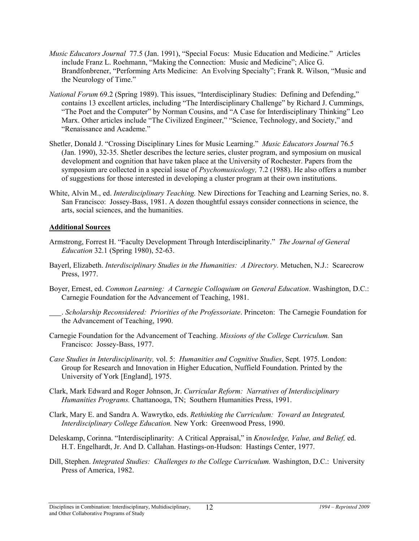- *Music Educators Journal* 77.5 (Jan. 1991), "Special Focus: Music Education and Medicine." Articles include Franz L. Roehmann, "Making the Connection: Music and Medicine"; Alice G. Brandfonbrener, "Performing Arts Medicine: An Evolving Specialty"; Frank R. Wilson, "Music and the Neurology of Time."
- *National Forum* 69.2 (Spring 1989). This issues, "Interdisciplinary Studies: Defining and Defending," contains 13 excellent articles, including "The Interdisciplinary Challenge" by Richard J. Cummings, "The Poet and the Computer" by Norman Cousins, and "A Case for Interdisciplinary Thinking" Leo Marx. Other articles include "The Civilized Engineer," "Science, Technology, and Society," and "Renaissance and Academe."
- Shetler, Donald J. "Crossing Disciplinary Lines for Music Learning." *Music Educators Journal* 76.5 (Jan. 1990), 32-35. Shetler describes the lecture series, cluster program, and symposium on musical development and cognition that have taken place at the University of Rochester. Papers from the symposium are collected in a special issue of *Psychomusicology,* 7.2 (1988). He also offers a number of suggestions for those interested in developing a cluster program at their own institutions.
- White, Alvin M., ed. *Interdisciplinary Teaching.* New Directions for Teaching and Learning Series, no. 8. San Francisco: Jossey-Bass, 1981. A dozen thoughtful essays consider connections in science, the arts, social sciences, and the humanities.

#### **Additional Sources**

- Armstrong, Forrest H. "Faculty Development Through Interdisciplinarity." *The Journal of General Education* 32.1 (Spring 1980), 52-63.
- Bayerl, Elizabeth. *Interdisciplinary Studies in the Humanities: A Directory.* Metuchen, N.J.: Scarecrow Press, 1977.
- Boyer, Ernest, ed. *Common Learning: A Carnegie Colloquium on General Education*. Washington, D.C.: Carnegie Foundation for the Advancement of Teaching, 1981.
	- . *Scholarship Reconsidered: Priorities of the Professoriate*. Princeton: The Carnegie Foundation for the Advancement of Teaching, 1990.
- Carnegie Foundation for the Advancement of Teaching. *Missions of the College Curriculum.* San Francisco: Jossey-Bass, 1977.
- *Case Studies in Interdisciplinarity,* vol. 5: *Humanities and Cognitive Studies*, Sept. 1975. London: Group for Research and Innovation in Higher Education, Nuffield Foundation. Printed by the University of York [England], 1975.
- Clark, Mark Edward and Roger Johnson, Jr. *Curricular Reform: Narratives of Interdisciplinary Humanities Programs.* Chattanooga, TN; Southern Humanities Press, 1991.
- Clark, Mary E. and Sandra A. Wawrytko, eds. *Rethinking the Curriculum: Toward an Integrated, Interdisciplinary College Education.* New York: Greenwood Press, 1990.
- Deleskamp, Corinna. "Interdisciplinarity: A Critical Appraisal," in *Knowledge, Value, and Belief,* ed. H.T. Engelhardt, Jr. And D. Callahan. Hastings-on-Hudson: Hastings Center, 1977.
- Dill, Stephen. *Integrated Studies: Challenges to the College Curriculum.* Washington, D.C.: University Press of America, 1982.

Disciplines in Combination: Interdisciplinary, Multidisciplinary, *1994 – Reprinted 2009* and Other Collaborative Programs of Study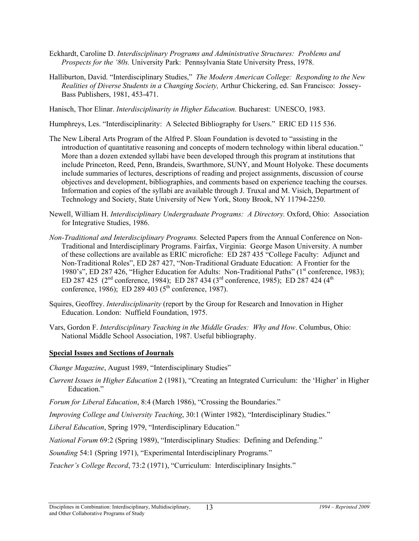- Eckhardt, Caroline D. *Interdisciplinary Programs and Administrative Structures: Problems and Prospects for the '80s.* University Park: Pennsylvania State University Press, 1978.
- Halliburton, David. "Interdisciplinary Studies," *The Modern American College: Responding to the New Realities of Diverse Students in a Changing Society,* Arthur Chickering, ed. San Francisco: Jossey-Bass Publishers, 1981, 453-471.
- Hanisch, Thor Elinar. *Interdisciplinarity in Higher Education.* Bucharest: UNESCO, 1983.
- Humphreys, Les. "Interdisciplinarity: A Selected Bibliography for Users." ERIC ED 115 536.
- The New Liberal Arts Program of the Alfred P. Sloan Foundation is devoted to "assisting in the introduction of quantitative reasoning and concepts of modern technology within liberal education." More than a dozen extended syllabi have been developed through this program at institutions that include Princeton, Reed, Penn, Brandeis, Swarthmore, SUNY, and Mount Holyoke. These documents include summaries of lectures, descriptions of reading and project assignments, discussion of course objectives and development, bibliographies, and comments based on experience teaching the courses. Information and copies of the syllabi are available through J. Truxal and M. Visich, Department of Technology and Society, State University of New York, Stony Brook, NY 11794-2250.
- Newell, William H. *Interdisciplinary Undergraduate Programs: A Directory.* Oxford, Ohio: Association for Integrative Studies, 1986.
- *Non-Traditional and Interdisciplinary Programs.* Selected Papers from the Annual Conference on Non-Traditional and Interdisciplinary Programs. Fairfax, Virginia: George Mason University. A number of these collections are available as ERIC microfiche: ED 287 435 "College Faculty: Adjunct and Non-Traditional Roles", ED 287 427, "Non-Traditional Graduate Education: A Frontier for the 1980's", ED 287 426, "Higher Education for Adults: Non-Traditional Paths" (1<sup>st</sup> conference, 1983); ED 287 425 (2<sup>nd</sup> conference, 1984); ED 287 434 (3<sup>rd</sup> conference, 1985); ED 287 424 (4<sup>th</sup>) conference, 1986); ED 289 403 ( $5^{th}$  conference, 1987).
- Squires, Geoffrey. *Interdisciplinarity* (report by the Group for Research and Innovation in Higher Education. London: Nuffield Foundation, 1975.
- Vars, Gordon F. *Interdisciplinary Teaching in the Middle Grades: Why and How*. Columbus, Ohio: National Middle School Association, 1987. Useful bibliography.

### **Special Issues and Sections of Journals**

*Change Magazine*, August 1989, "Interdisciplinary Studies"

- *Current Issues in Higher Education* 2 (1981), "Creating an Integrated Curriculum: the 'Higher' in Higher Education."
- *Forum for Liberal Education*, 8:4 (March 1986), "Crossing the Boundaries."

*Improving College and University Teaching*, 30:1 (Winter 1982), "Interdisciplinary Studies."

*Liberal Education*, Spring 1979, "Interdisciplinary Education."

*National Forum* 69:2 (Spring 1989), "Interdisciplinary Studies: Defining and Defending."

*Sounding* 54:1 (Spring 1971), "Experimental Interdisciplinary Programs."

*Teacher's College Record*, 73:2 (1971), "Curriculum: Interdisciplinary Insights."